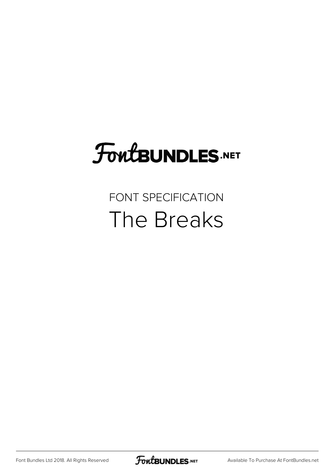# **FoutBUNDLES.NET**

#### FONT SPECIFICATION The Breaks

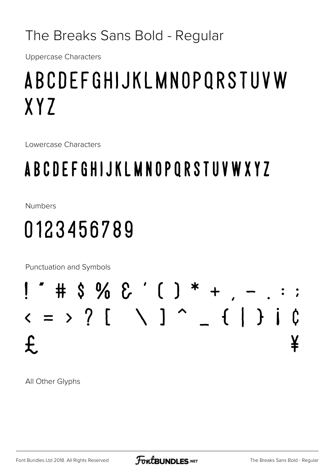#### The Breaks Sans Bold - Regular

**Uppercase Characters** 

# ABCDEFGHIJKLMNOPORSTUVW XYZ

Lowercase Characters

### **ABCDEFGHIJKLMNOPQRSTUVWXYZ**

**Numbers** 

# 0123456789

Punctuation and Symbols



All Other Glyphs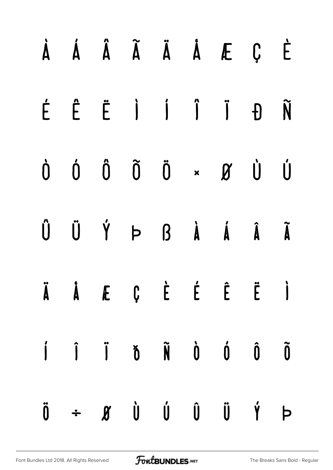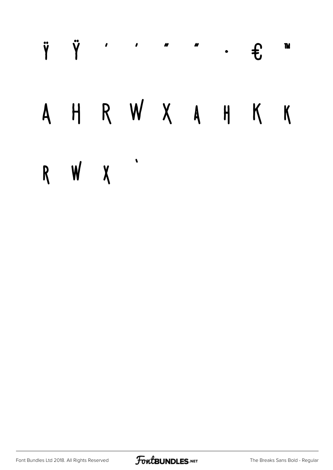#### Ÿ Ÿ  $\mathbf{r}$  $\mathbf{u}$ **TM**  $f$  $\bullet$ HRWXAH  $K$  K  $\overline{A}$  $\blacklozenge$ R W X

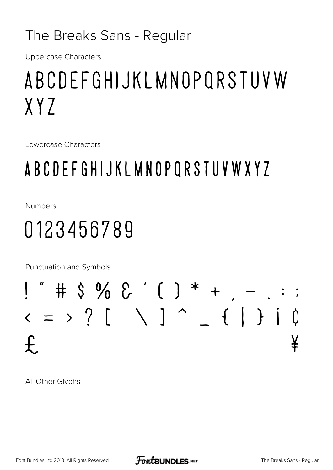#### The Breaks Sans - Regular

**Uppercase Characters** 

## ABCDEFGHIJKLMNOPORSTUVW  $XY7$

Lowercase Characters

### ABCDEFGHIJKLMNOPQRSTUVWXYZ

**Numbers** 

## 0123456789

Punctuation and Symbols



All Other Glyphs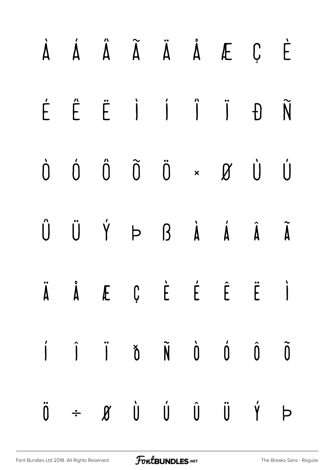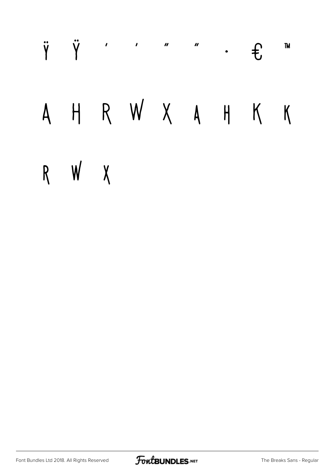#### **TM**  $\bullet$  $\mathbf{f}$ HRWXAHKK  $\mathsf{A}$ R W X

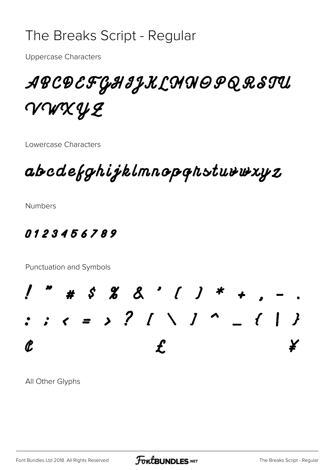#### The Breaks Script - Regular

**Uppercase Characters** 

#### ABCDEFGHIJKLMNOPQRSTU VWXYZ

Lowercase Characters

abcdefghijklmnopqhstuvwxyz

**Numbers** 

#### 0123456789

Punctuation and Symbols



All Other Glyphs